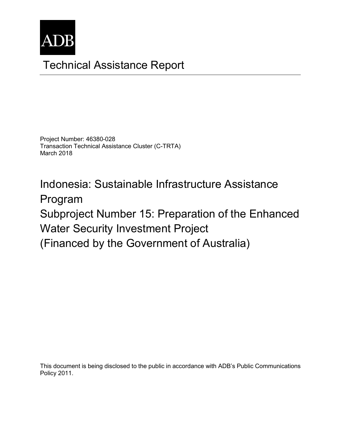

# Technical Assistance Report

Project Number: 46380-028 Transaction Technical Assistance Cluster (C-TRTA) March 2018

Indonesia: Sustainable Infrastructure Assistance Program Subproject Number 15: Preparation of the Enhanced Water Security Investment Project (Financed by the Government of Australia)

This document is being disclosed to the public in accordance with ADB's Public Communications Policy 2011.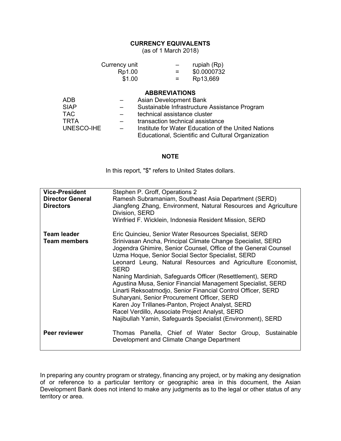#### **CURRENCY EQUIVALENTS**

(as of 1 March 2018)

|                                                                      | Currency unit<br>Rp1.00<br>\$1.00 | rupiah (Rp)<br>\$0.0000732<br>Rp13,669                                                                                                                                                                                                                                          |
|----------------------------------------------------------------------|-----------------------------------|---------------------------------------------------------------------------------------------------------------------------------------------------------------------------------------------------------------------------------------------------------------------------------|
| <b>ADB</b><br><b>SIAP</b><br><b>TAC</b><br><b>TRTA</b><br>UNESCO-IHE |                                   | <b>ABBREVIATIONS</b><br>Asian Development Bank<br>Sustainable Infrastructure Assistance Program<br>technical assistance cluster<br>transaction technical assistance<br>Institute for Water Education of the United Nations<br>Educational, Scientific and Cultural Organization |

#### **NOTE**

In this report, "\$" refers to United States dollars.

| <b>Vice-President</b><br><b>Director General</b><br><b>Directors</b> | Stephen P. Groff, Operations 2<br>Ramesh Subramaniam, Southeast Asia Department (SERD)<br>Jiangfeng Zhang, Environment, Natural Resources and Agriculture<br>Division, SERD<br>Winfried F. Wicklein, Indonesia Resident Mission, SERD                                                                                                                                                                                                                                                                                                                                                                                                                                                                                                  |  |
|----------------------------------------------------------------------|----------------------------------------------------------------------------------------------------------------------------------------------------------------------------------------------------------------------------------------------------------------------------------------------------------------------------------------------------------------------------------------------------------------------------------------------------------------------------------------------------------------------------------------------------------------------------------------------------------------------------------------------------------------------------------------------------------------------------------------|--|
| <b>Team leader</b><br><b>Team members</b>                            | Eric Quincieu, Senior Water Resources Specialist, SERD<br>Srinivasan Ancha, Principal Climate Change Specialist, SERD<br>Jogendra Ghimire, Senior Counsel, Office of the General Counsel<br>Uzma Hoque, Senior Social Sector Specialist, SERD<br>Leonard Leung, Natural Resources and Agriculture Economist,<br>SERD<br>Naning Mardiniah, Safeguards Officer (Resettlement), SERD<br>Agustina Musa, Senior Financial Management Specialist, SERD<br>Linarti Reksoatmodjo, Senior Financial Control Officer, SERD<br>Suharyani, Senior Procurement Officer, SERD<br>Karen Joy Trillanes-Panton, Project Analyst, SERD<br>Racel Verdillo, Associate Project Analyst, SERD<br>Najibullah Yamin, Safeguards Specialist (Environment), SERD |  |
| Peer reviewer                                                        | Thomas Panella, Chief of Water Sector Group, Sustainable<br>Development and Climate Change Department                                                                                                                                                                                                                                                                                                                                                                                                                                                                                                                                                                                                                                  |  |

In preparing any country program or strategy, financing any project, or by making any designation of or reference to a particular territory or geographic area in this document, the Asian Development Bank does not intend to make any judgments as to the legal or other status of any territory or area.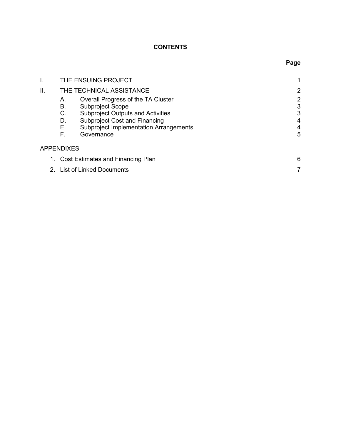# **CONTENTS**

|                                      | THE ENSUING PROJECT              |                                                                                                                                                                                                    |                                         |
|--------------------------------------|----------------------------------|----------------------------------------------------------------------------------------------------------------------------------------------------------------------------------------------------|-----------------------------------------|
| ΙΙ.                                  | THE TECHNICAL ASSISTANCE         | $\overline{2}$                                                                                                                                                                                     |                                         |
|                                      | А.<br>В.<br>C.<br>D.<br>Е.<br>F. | Overall Progress of the TA Cluster<br>Subproject Scope<br><b>Subproject Outputs and Activities</b><br>Subproject Cost and Financing<br><b>Subproject Implementation Arrangements</b><br>Governance | $\overline{2}$<br>3<br>3<br>4<br>4<br>5 |
| <b>APPENDIXES</b>                    |                                  |                                                                                                                                                                                                    |                                         |
| 1. Cost Estimates and Financing Plan |                                  |                                                                                                                                                                                                    | 6                                       |
|                                      | 2. List of Linked Documents      |                                                                                                                                                                                                    |                                         |

# **Page**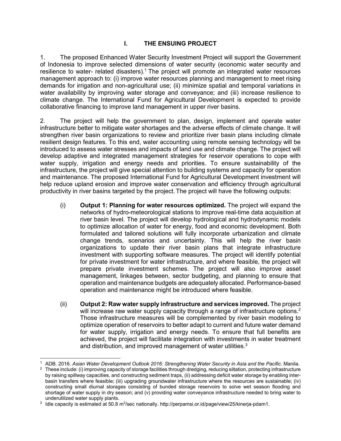#### **I. THE ENSUING PROJECT**

1. The proposed Enhanced Water Security Investment Project will support the Government of Indonesia to improve selected dimensions of water security (economic water security and resilience to water- related disasters).<sup>1</sup> The project will promote an integrated water resources management approach to: (i) improve water resources planning and management to meet rising demands for irrigation and non-agricultural use; (ii) minimize spatial and temporal variations in water availability by improving water storage and conveyance; and (iii) increase resilience to climate change. The International Fund for Agricultural Development is expected to provide collaborative financing to improve land management in upper river basins.

2. The project will help the government to plan, design, implement and operate water infrastructure better to mitigate water shortages and the adverse effects of climate change. It will strengthen river basin organizations to review and prioritize river basin plans including climate resilient design features. To this end, water accounting using remote sensing technology will be introduced to assess water stresses and impacts of land use and climate change. The project will develop adaptive and integrated management strategies for reservoir operations to cope with water supply, irrigation and energy needs and priorities. To ensure sustainability of the infrastructure, the project will give special attention to building systems and capacity for operation and maintenance. The proposed International Fund for Agricultural Development investment will help reduce upland erosion and improve water conservation and efficiency through agricultural productivity in river basins targeted by the project. The project will have the following outputs:

- (i) **Output 1: Planning for water resources optimized.** The project will expand the networks of hydro-meteorological stations to improve real-time data acquisition at river basin level. The project will develop hydrological and hydrodynamic models to optimize allocation of water for energy, food and economic development. Both formulated and tailored solutions will fully incorporate urbanization and climate change trends, scenarios and uncertainty. This will help the river basin organizations to update their river basin plans that integrate infrastructure investment with supporting software measures. The project will identify potential for private investment for water infrastructure, and where feasible, the project will prepare private investment schemes. The project will also improve asset management, linkages between, sector budgeting, and planning to ensure that operation and maintenance budgets are adequately allocated. Performance-based operation and maintenance might be introduced where feasible.
- (ii) **Output 2: Raw water supply infrastructure and services improved.** The project will increase raw water supply capacity through a range of infrastructure options.<sup>2</sup> Those infrastructure measures will be complemented by river basin modeling to optimize operation of reservoirs to better adapt to current and future water demand for water supply, irrigation and energy needs. To ensure that full benefits are achieved, the project will facilitate integration with investments in water treatment and distribution, and improved management of water utilities.<sup>3</sup>

<sup>-</sup>1 ADB. 2016. *Asian Water Development Outlook 2016: Strengthening Water Security in Asia and the Pacific*. Manila.

 $2$  These include: (i) improving capacity of storage facilities through dredging, reducing siltation, protecting infrastructure by raising spillway capacities, and constructing sediment traps, (ii) addressing deficit water storage by enabling interbasin transfers where feasible; (iii) upgrading groundwater infrastructure where the resources are sustainable; (iv) constructing small diurnal storages consisting of bunded storage reservoirs to solve wet season flooding and shortage of water supply in dry season; and (v) providing water conveyance infrastructure needed to bring water to underutilized water supply plants.

<sup>&</sup>lt;sup>3</sup> Idle capacity is estimated at 50.8 m<sup>3</sup>/sec nationally. http://perpamsi.or.id/page/view/25/kinerja-pdam1.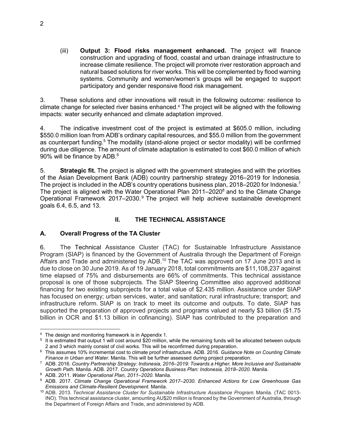(iii) **Output 3: Flood risks management enhanced.** The project will finance construction and upgrading of flood, coastal and urban drainage infrastructure to increase climate resilience. The project will promote river restoration approach and natural based solutions for river works. This will be complemented by flood warning systems. Community and women/women's groups will be engaged to support participatory and gender responsive flood risk management.

3. These solutions and other innovations will result in the following outcome: resilience to climate change for selected river basins enhanced. <sup>4</sup> The project will be aligned with the following impacts: water security enhanced and climate adaptation improved.

4. The indicative investment cost of the project is estimated at \$605.0 million, including \$550.0 million loan from ADB's ordinary capital resources, and \$55.0 million from the government as counterpart funding.<sup>5</sup> The modality (stand-alone project or sector modality) will be confirmed during due diligence. The amount of climate adaptation is estimated to cost \$60.0 million of which 90% will be finance by ADB.<sup>6</sup>

5. **Strategic fit.** The project is aligned with the government strategies and with the priorities of the Asian Development Bank (ADB) country partnership strategy 2016–2019 for Indonesia. The project is included in the ADB's country operations business plan, 2018–2020 for Indonesia.<sup>7</sup> The project is aligned with the Water Operational Plan 2011–2020<sup>8</sup> and to the Climate Change Operational Framework 2017–2030.<sup>9</sup> The project will help achieve sustainable development goals 6.4, 6.5, and 13.

#### **II. THE TECHNICAL ASSISTANCE**

### **A. Overall Progress of the TA Cluster**

6. The Technical Assistance Cluster (TAC) for Sustainable Infrastructure Assistance Program (SIAP) is financed by the Government of Australia through the Department of Foreign Affairs and Trade and administered by ADB.<sup>10</sup> The TAC was approved on 17 June 2013 and is due to close on 30 June 2019. As of 19 January 2018, total commitments are \$11,108,237 against time elapsed of 75% and disbursements are 66% of commitments. This technical assistance proposal is one of those subprojects. The SIAP Steering Committee also approved additional financing for two existing subprojects for a total value of \$2.435 million. Assistance under SIAP has focused on energy; urban services, water, and sanitation; rural infrastructure; transport; and infrastructure reform. SIAP is on track to meet its outcome and outputs. To date, SIAP has supported the preparation of approved projects and programs valued at nearly \$3 billion (\$1.75 billion in OCR and \$1.13 billion in cofinancing). SIAP has contributed to the preparation and

<sup>-</sup>4 The design and monitoring framework is in Appendix 1.

<sup>&</sup>lt;sup>5</sup> It is estimated that output 1 will cost around \$20 million, while the remaining funds will be allocated between outputs 2 and 3 which mainly consist of civil works. This will be reconfirmed during preparation.

<sup>6</sup> This assumes 10% incremental cost to climate proof infrastructure. ADB. 2016. *Guidance Note on Counting Climate Finance in Urban and Water*. Manila. This will be further assessed during project preparation.

<sup>7</sup> ADB. 2016. *Country Partnership Strategy: Indonesia, 2016–2019: Towards a Higher, More Inclusive and Sustainable Growth Path.* Manila. ADB. 2017. *Country Operations Business Plan: Indonesia, 2018–2020*. Manila.

<sup>8</sup> ADB. 2011. *Water Operational Plan, 2011–2020.* Manila.

<sup>9</sup> ADB. 2017. *Climate Change Operational Framework 2017–2030. Enhanced Actions for Low Greenhouse Gas Emissions and Climate-Resilient Development.* Manila.

<sup>&</sup>lt;sup>10</sup> ADB. 2013. *Technical Assistance Cluster for Sustainable Infrastructure Assistance Program. Manila. (TAC 0013-*INO). This technical assistance cluster, amounting AU\$20 million is financed by the Government of Australia, through the Department of Foreign Affairs and Trade, and administered by ADB.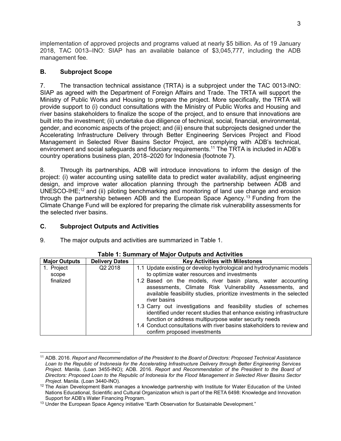implementation of approved projects and programs valued at nearly \$5 billion. As of 19 January 2018, TAC 0013–INO: SIAP has an available balance of \$3,045,777, including the ADB management fee.

#### **B. Subproject Scope**

7. The transaction technical assistance (TRTA) is a subproject under the TAC 0013-INO: SIAP as agreed with the Department of Foreign Affairs and Trade. The TRTA will support the Ministry of Public Works and Housing to prepare the project. More specifically, the TRTA will provide support to (i) conduct consultations with the Ministry of Public Works and Housing and river basins stakeholders to finalize the scope of the project, and to ensure that innovations are built into the investment; (ii) undertake due diligence of technical, social, financial, environmental, gender, and economic aspects of the project; and (iii) ensure that subprojects designed under the Accelerating Infrastructure Delivery through Better Engineering Services Project and Flood Management in Selected River Basins Sector Project, are complying with ADB's technical, environment and social safeguards and fiduciary requirements.<sup>11</sup> The TRTA is included in ADB's country operations business plan, 2018–2020 for Indonesia (footnote 7).

8. Through its partnerships, ADB will introduce innovations to inform the design of the project: (i) water accounting using satellite data to predict water availability, adjust engineering design, and improve water allocation planning through the partnership between ADB and UNESCO-IHE;<sup>12</sup> and (ii) piloting benchmarking and monitoring of land use change and erosion through the partnership between ADB and the European Space Agency.<sup>13</sup> Funding from the Climate Change Fund will be explored for preparing the climate risk vulnerability assessments for the selected river basins.

#### **C. Subproject Outputs and Activities**

9. The major outputs and activities are summarized in Table 1.

| <b>Major Outputs</b> | <b>Delivery Dates</b> | <b>Key Activities with Milestones</b>                                                                                                                                                                                                                                                                      |
|----------------------|-----------------------|------------------------------------------------------------------------------------------------------------------------------------------------------------------------------------------------------------------------------------------------------------------------------------------------------------|
| 1. Project           | Q <sub>2</sub> 2018   | 1.1 Update existing or develop hydrological and hydrodynamic models                                                                                                                                                                                                                                        |
| scope                |                       | to optimize water resources and investments                                                                                                                                                                                                                                                                |
| finalized            |                       | 1.2 Based on the models, river basin plans, water accounting<br>assessments, Climate Risk Vulnerability Assessments, and<br>available feasibility studies, prioritize investments in the selected<br>river basins                                                                                          |
|                      |                       | 1.3 Carry out investigations and feasibility studies of schemes<br>identified under recent studies that enhance existing infrastructure<br>function or address multipurpose water security needs<br>1.4 Conduct consultations with river basins stakeholders to review and<br>confirm proposed investments |

#### **Table 1: Summary of Major Outputs and Activities**

<sup>-</sup><sup>11</sup> ADB. 2016. *Report and Recommendation of the President to the Board of Directors: Proposed Technical Assistance Loan to the Republic of Indonesia for the Accelerating Infrastructure Delivery through Better Engineering Services Project*. Manila. (Loan 3455-INO); ADB. 2016. *Report and Recommendation of the President to the Board of Directors: Proposed Loan to the Republic of Indonesia for the Flood Management in Selected River Basins Sector Project*. Manila. (Loan 3440-INO).

<sup>&</sup>lt;sup>12</sup> The Asian Development Bank manages a knowledge partnership with Institute for Water Education of the United Nations Educational, Scientific and Cultural Organization which is part of the RETA 6498: Knowledge and Innovation Support for ADB's Water Financing Program.

<sup>&</sup>lt;sup>13</sup> Under the European Space Agency initiative "Earth Observation for Sustainable Development."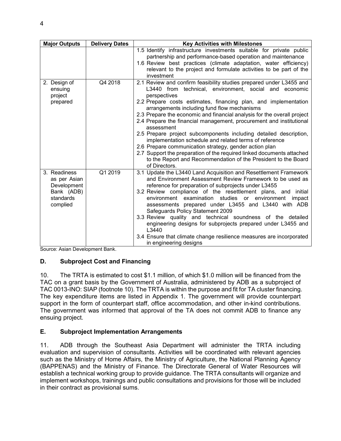| <b>Major Outputs</b>                                                               | <b>Delivery Dates</b> | <b>Key Activities with Milestones</b>                                                                                                                                                                                                                                                                                                                                                                                                                                                                                                                                                                                                                                                                                                                                                |
|------------------------------------------------------------------------------------|-----------------------|--------------------------------------------------------------------------------------------------------------------------------------------------------------------------------------------------------------------------------------------------------------------------------------------------------------------------------------------------------------------------------------------------------------------------------------------------------------------------------------------------------------------------------------------------------------------------------------------------------------------------------------------------------------------------------------------------------------------------------------------------------------------------------------|
|                                                                                    |                       | 1.5 Identify infrastructure investments suitable for private public<br>partnership and performance-based operation and maintenance<br>1.6 Review best practices (climate adaptation, water efficiency)<br>relevant to the project and formulate activities to be part of the<br>investment                                                                                                                                                                                                                                                                                                                                                                                                                                                                                           |
| 2. Design of<br>ensuing<br>project<br>prepared                                     | Q4 2018               | 2.1 Review and confirm feasibility studies prepared under L3455 and<br>L3440 from technical, environment, social and economic<br>perspectives<br>2.2 Prepare costs estimates, financing plan, and implementation<br>arrangements including fund flow mechanisms<br>2.3 Prepare the economic and financial analysis for the overall project<br>2.4 Prepare the financial management, procurement and institutional<br>assessment<br>2.5 Prepare project subcomponents including detailed description,<br>implementation schedule and related terms of reference<br>2.6 Prepare communication strategy, gender action plan<br>2.7 Support the preparation of the required linked documents attached<br>to the Report and Recommendation of the President to the Board<br>of Directors. |
| 3. Readiness<br>as per Asian<br>Development<br>Bank (ADB)<br>standards<br>complied | Q1 2019               | 3.1 Update the L3440 Land Acquisition and Resettlement Framework<br>and Environment Assessment Review Framework to be used as<br>reference for preparation of subprojects under L3455<br>3.2 Review compliance of the resettlement plans, and initial<br>environment examination studies or environment impact<br>assessments prepared under L3455 and L3440 with ADB<br>Safeguards Policy Statement 2009<br>3.3 Review quality and technical soundness of the detailed<br>engineering designs for subprojects prepared under L3455 and<br>L3440<br>3.4 Ensure that climate change resilience measures are incorporated<br>in engineering designs                                                                                                                                    |

Source: Asian Development Bank.

#### **D. Subproject Cost and Financing**

10. The TRTA is estimated to cost \$1.1 million, of which \$1.0 million will be financed from the TAC on a grant basis by the Government of Australia, administered by ADB as a subproject of TAC 0013-INO: SIAP (footnote 10). The TRTA is within the purpose and fit for TA cluster financing. The key expenditure items are listed in Appendix 1. The government will provide counterpart support in the form of counterpart staff, office accommodation, and other in-kind contributions. The government was informed that approval of the TA does not commit ADB to finance any ensuing project.

#### **E. Subproject Implementation Arrangements**

11. ADB through the Southeast Asia Department will administer the TRTA including evaluation and supervision of consultants. Activities will be coordinated with relevant agencies such as the Ministry of Home Affairs, the Ministry of Agriculture, the National Planning Agency (BAPPENAS) and the Ministry of Finance. The Directorate General of Water Resources will establish a technical working group to provide guidance. The TRTA consultants will organize and implement workshops, trainings and public consultations and provisions for those will be included in their contract as provisional sums.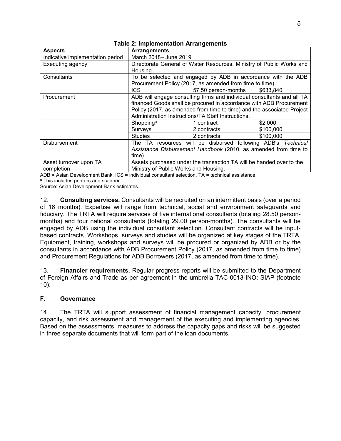| <b>Aspects</b>                                                               | <b>Arrangements</b>                                                    |                                                         |           |
|------------------------------------------------------------------------------|------------------------------------------------------------------------|---------------------------------------------------------|-----------|
| Indicative implementation period                                             | March 2018- June 2019                                                  |                                                         |           |
| Executing agency                                                             | Directorate General of Water Resources, Ministry of Public Works and   |                                                         |           |
|                                                                              | Housing                                                                |                                                         |           |
| Consultants                                                                  | To be selected and engaged by ADB in accordance with the ADB           |                                                         |           |
|                                                                              |                                                                        | Procurement Policy (2017, as amended from time to time) |           |
|                                                                              | <b>ICS</b>                                                             | 57.50 person-months                                     | \$633,840 |
| Procurement                                                                  | ADB will engage consulting firms and individual consultants and all TA |                                                         |           |
|                                                                              | financed Goods shall be procured in accordance with ADB Procurement    |                                                         |           |
|                                                                              | Policy (2017, as amended from time to time) and the associated Project |                                                         |           |
|                                                                              | Administration Instructions/TA Staff Instructions.                     |                                                         |           |
|                                                                              | Shopping <sup>a</sup>                                                  | 1 contract                                              | \$2,000   |
|                                                                              | Surveys                                                                | 2 contracts                                             | \$100,000 |
|                                                                              | <b>Studies</b>                                                         | 2 contracts                                             | \$100,000 |
| The TA resources will be disbursed following ADB's Technical<br>Disbursement |                                                                        |                                                         |           |
|                                                                              | Assistance Disbursement Handbook (2010, as amended from time to        |                                                         |           |
|                                                                              | time).                                                                 |                                                         |           |
| Asset turnover upon TA                                                       | Assets purchased under the transaction TA will be handed over to the   |                                                         |           |
| completion                                                                   | Ministry of Public Works and Housing.                                  |                                                         |           |

**Table 2: Implementation Arrangements**

ADB = Asian Development Bank, ICS = individual consultant selection, TA = technical assistance.

<sup>a</sup> This includes printers and scanner.

Source: Asian Development Bank estimates.

12. **Consulting services.** Consultants will be recruited on an intermittent basis (over a period of 16 months). Expertise will range from technical, social and environment safeguards and fiduciary. The TRTA will require services of five international consultants (totaling 28.50 personmonths) and four national consultants (totaling 29.00 person-months). The consultants will be engaged by ADB using the individual consultant selection. Consultant contracts will be inputbased contracts. Workshops, surveys and studies will be organized at key stages of the TRTA. Equipment, training, workshops and surveys will be procured or organized by ADB or by the consultants in accordance with ADB Procurement Policy (2017, as amended from time to time) and Procurement Regulations for ADB Borrowers (2017, as amended from time to time).

13. **Financier requirements.** Regular progress reports will be submitted to the Department of Foreign Affairs and Trade as per agreement in the umbrella TAC 0013-INO: SIAP (footnote 10).

#### **F. Governance**

14. The TRTA will support assessment of financial management capacity, procurement capacity, and risk assessment and management of the executing and implementing agencies. Based on the assessments, measures to address the capacity gaps and risks will be suggested in three separate documents that will form part of the loan documents.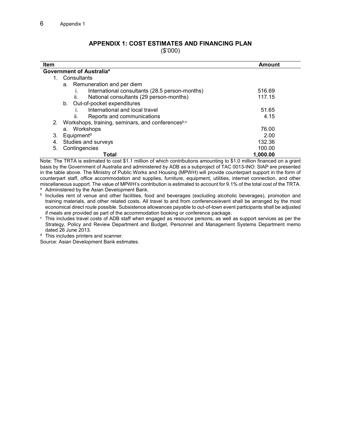## **APPENDIX 1: COST ESTIMATES AND FINANCING PLAN**

(\$'000)

| <b>Item</b>                                             | Amount   |  |  |
|---------------------------------------------------------|----------|--|--|
| Government of Australia <sup>a</sup>                    |          |  |  |
| Consultants                                             |          |  |  |
| a. Remuneration and per diem                            |          |  |  |
| International consultants (28.5 person-months)          | 516.69   |  |  |
| National consultants (29 person-months)<br>ii.          | 117.15   |  |  |
| Out-of-pocket expenditures<br>b.                        |          |  |  |
| International and local travel                          | 51.65    |  |  |
| Reports and communications<br>Îİ.                       | 4.15     |  |  |
| Workshops, training, seminars, and conferencesb,c<br>2. |          |  |  |
| a. Workshops                                            | 76.00    |  |  |
| Equipment <sup>d</sup><br>3.                            | 2.00     |  |  |
| Studies and surveys<br>4.                               | 132.36   |  |  |
| Contingencies<br>5.                                     | 100.00   |  |  |
| Total                                                   | 1.000.00 |  |  |

Note: The TRTA is estimated to cost \$1.1 million of which contributions amounting to \$1.0 million financed on a grant basis by the Government of Australia and administered by ADB as a subproject of TAC 0013-INO: SIAP are presented in the table above. The Ministry of Public Works and Housing (MPWH) will provide counterpart support in the form of counterpart staff, office accommodation and supplies, furniture, equipment, utilities, internet connection, and other miscellaneous support. The value of MPWH's contribution is estimated to account for 9.1% of the total cost of the TRTA.

a Administered by the Asian Development Bank.

**b** Includes rent of venue and other facilities, food and beverages (excluding alcoholic beverages), promotion and training materials, and other related costs. All travel to and from conference/event shall be arranged by the most economical direct route possible. Subsistence allowances payable to out-of-town event participants shall be adjusted if meals are provided as part of the accommodation booking or conference package.

 $\textdegree$  This includes travel costs of ADB staff when engaged as resource persons, as well as support services as per the Strategy, Policy and Review Department and Budget, Personnel and Management Systems Department memo dated 26 June 2013.

<sup>d</sup> This includes printers and scanner.

Source: Asian Development Bank estimates.